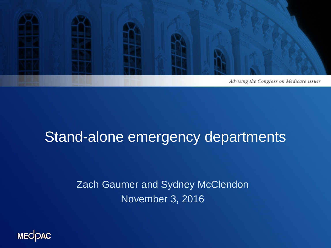

## Stand-alone emergency departments

Zach Gaumer and Sydney McClendon November 3, 2016

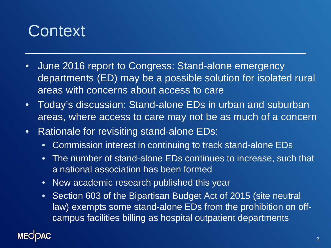## **Context**

- June 2016 report to Congress: Stand-alone emergency departments (ED) may be a possible solution for isolated rural areas with concerns about access to care
- Today's discussion: Stand-alone EDs in urban and suburban areas, where access to care may not be as much of a concern
- Rationale for revisiting stand-alone EDs:
	- Commission interest in continuing to track stand-alone EDs
	- The number of stand-alone EDs continues to increase, such that a national association has been formed
	- New academic research published this year
	- Section 603 of the Bipartisan Budget Act of 2015 (site neutral law) exempts some stand-alone EDs from the prohibition on offcampus facilities billing as hospital outpatient departments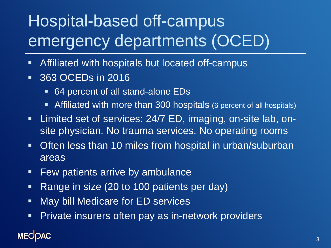# Hospital-based off-campus emergency departments (OCED)

- Affiliated with hospitals but located off-campus
- **363 OCEDs in 2016** 
	- 64 percent of all stand-alone EDs
	- **Affiliated with more than 300 hospitals (6 percent of all hospitals)**
- Limited set of services: 24/7 ED, imaging, on-site lab, onsite physician. No trauma services. No operating rooms
- Often less than 10 miles from hospital in urban/suburban areas
- **Few patients arrive by ambulance**
- Range in size (20 to 100 patients per day)
- **Nay bill Medicare for ED services**
- **Private insurers often pay as in-network providers**

#### **MECIOAC**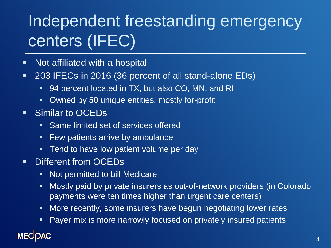# Independent freestanding emergency centers (IFEC)

- **Not affiliated with a hospital**
- 203 IFECs in 2016 (36 percent of all stand-alone EDs)
	- 94 percent located in TX, but also CO, MN, and RI
	- **Owned by 50 unique entities, mostly for-profit**
- **Similar to OCEDs** 
	- Same limited set of services offered
	- Few patients arrive by ambulance
	- Tend to have low patient volume per day
- **Different from OCEDs** 
	- Not permitted to bill Medicare
	- Mostly paid by private insurers as out-of-network providers (in Colorado payments were ten times higher than urgent care centers)
	- More recently, some insurers have begun negotiating lower rates
	- Payer mix is more narrowly focused on privately insured patients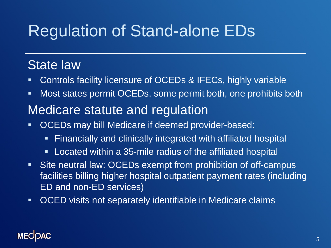# Regulation of Stand-alone EDs

### State law

- Controls facility licensure of OCEDs & IFECs, highly variable
- Most states permit OCEDs, some permit both, one prohibits both

### Medicare statute and regulation

- **-** OCEDs may bill Medicare if deemed provider-based:
	- Financially and clinically integrated with affiliated hospital
	- Located within a 35-mile radius of the affiliated hospital
- Site neutral law: OCEDs exempt from prohibition of off-campus facilities billing higher hospital outpatient payment rates (including ED and non-ED services)
- OCED visits not separately identifiable in Medicare claims

#### **MECK**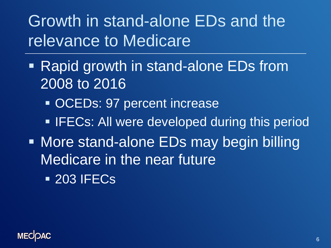# Growth in stand-alone EDs and the relevance to Medicare

- Rapid growth in stand-alone EDs from 2008 to 2016
	- **OCEDs: 97 percent increase**
	- **IFECs: All were developed during this period**
- **More stand-alone EDs may begin billing** Medicare in the near future
	- **203 IFECs**

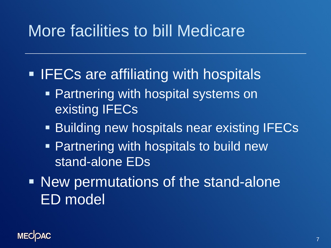# More facilities to bill Medicare

## **IFECs are affiliating with hospitals**

- **Partnering with hospital systems on** existing IFECs
- **Building new hospitals near existing IFECs**
- **Partnering with hospitals to build new** stand-alone EDs
- New permutations of the stand-alone ED model

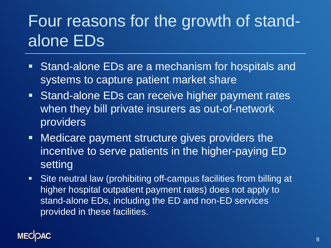# Four reasons for the growth of standalone EDs

- Stand-alone EDs are a mechanism for hospitals and systems to capture patient market share
- **Stand-alone EDs can receive higher payment rates** when they bill private insurers as out-of-network providers
- **Medicare payment structure gives providers the** incentive to serve patients in the higher-paying ED setting
- Site neutral law (prohibiting off-campus facilities from billing at higher hospital outpatient payment rates) does not apply to stand-alone EDs, including the ED and non-ED services provided in these facilities.

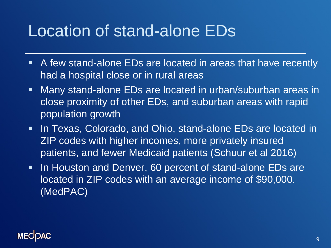## Location of stand-alone EDs

- A few stand-alone EDs are located in areas that have recently had a hospital close or in rural areas
- Many stand-alone EDs are located in urban/suburban areas in close proximity of other EDs, and suburban areas with rapid population growth
- In Texas, Colorado, and Ohio, stand-alone EDs are located in ZIP codes with higher incomes, more privately insured patients, and fewer Medicaid patients (Schuur et al 2016)
- In Houston and Denver, 60 percent of stand-alone EDs are located in ZIP codes with an average income of \$90,000. (MedPAC)

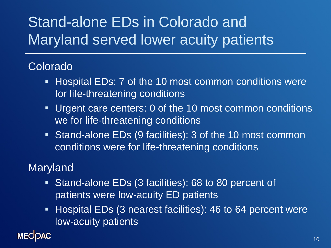## Stand-alone EDs in Colorado and Maryland served lower acuity patients

#### Colorado

- **Hospital EDs: 7 of the 10 most common conditions were** for life-threatening conditions
- Urgent care centers: 0 of the 10 most common conditions we for life-threatening conditions
- Stand-alone EDs (9 facilities): 3 of the 10 most common conditions were for life-threatening conditions

#### Maryland

- Stand-alone EDs (3 facilities): 68 to 80 percent of patients were low-acuity ED patients
- **Hospital EDs (3 nearest facilities): 46 to 64 percent were** low-acuity patients

#### **MECK**